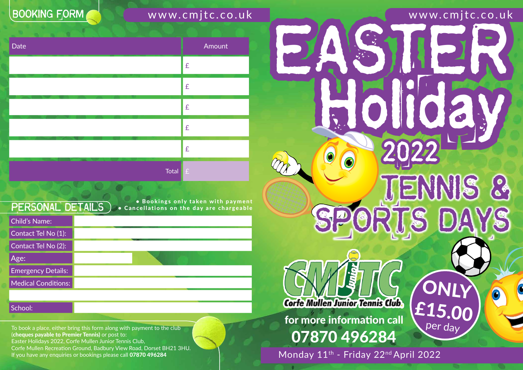To book a place, either bring this form along with payment to the club (cheques payable to Premier Tennis) or post to: Easter Holidays 2022, Corfe Mullen Junior Tennis Club, Corfe Mullen Recreation Ground, Badbury View Road, Dorset BH21 3HU. If you have any enquiries or bookings please call 07870 496284

Child's Name: Contact Tel No (1): Contact Tel No (2): Age: Emergency Details: Medical Conditions:

School:

**BOOKING FORM** 

www.cmjtc.co.uk